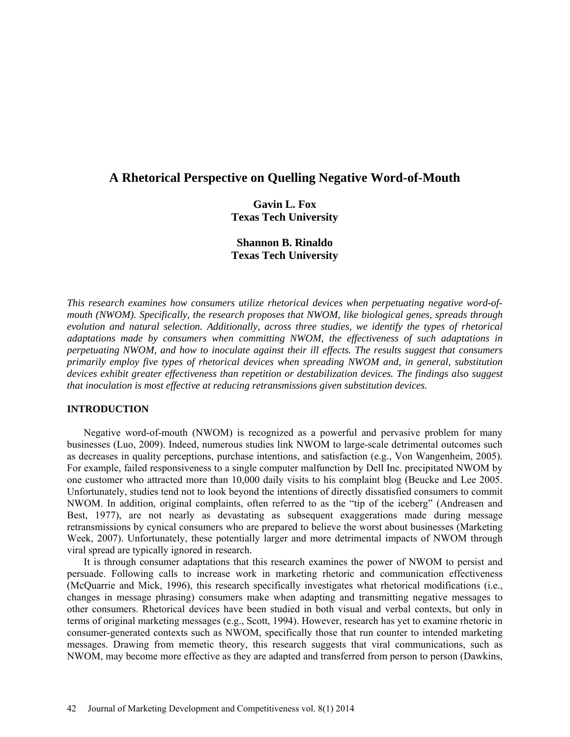# **A Rhetorical Perspective on Quelling Negative Word-of-Mouth**

**Gavin L. Fox Texas Tech University**

**Shannon B. Rinaldo Texas Tech University**

*This research examines how consumers utilize rhetorical devices when perpetuating negative word-ofmouth (NWOM). Specifically, the research proposes that NWOM, like biological genes, spreads through evolution and natural selection. Additionally, across three studies, we identify the types of rhetorical adaptations made by consumers when committing NWOM, the effectiveness of such adaptations in perpetuating NWOM, and how to inoculate against their ill effects. The results suggest that consumers primarily employ five types of rhetorical devices when spreading NWOM and, in general, substitution devices exhibit greater effectiveness than repetition or destabilization devices. The findings also suggest that inoculation is most effective at reducing retransmissions given substitution devices.*

## **INTRODUCTION**

Negative word-of-mouth (NWOM) is recognized as a powerful and pervasive problem for many businesses (Luo, 2009). Indeed, numerous studies link NWOM to large-scale detrimental outcomes such as decreases in quality perceptions, purchase intentions, and satisfaction (e.g., Von Wangenheim, 2005). For example, failed responsiveness to a single computer malfunction by Dell Inc. precipitated NWOM by one customer who attracted more than 10,000 daily visits to his complaint blog (Beucke and Lee 2005. Unfortunately, studies tend not to look beyond the intentions of directly dissatisfied consumers to commit NWOM. In addition, original complaints, often referred to as the "tip of the iceberg" (Andreasen and Best, 1977), are not nearly as devastating as subsequent exaggerations made during message retransmissions by cynical consumers who are prepared to believe the worst about businesses (Marketing Week, 2007). Unfortunately, these potentially larger and more detrimental impacts of NWOM through viral spread are typically ignored in research.

It is through consumer adaptations that this research examines the power of NWOM to persist and persuade. Following calls to increase work in marketing rhetoric and communication effectiveness (McQuarrie and Mick, 1996), this research specifically investigates what rhetorical modifications (i.e., changes in message phrasing) consumers make when adapting and transmitting negative messages to other consumers. Rhetorical devices have been studied in both visual and verbal contexts, but only in terms of original marketing messages (e.g., Scott, 1994). However, research has yet to examine rhetoric in consumer-generated contexts such as NWOM, specifically those that run counter to intended marketing messages. Drawing from memetic theory, this research suggests that viral communications, such as NWOM, may become more effective as they are adapted and transferred from person to person (Dawkins,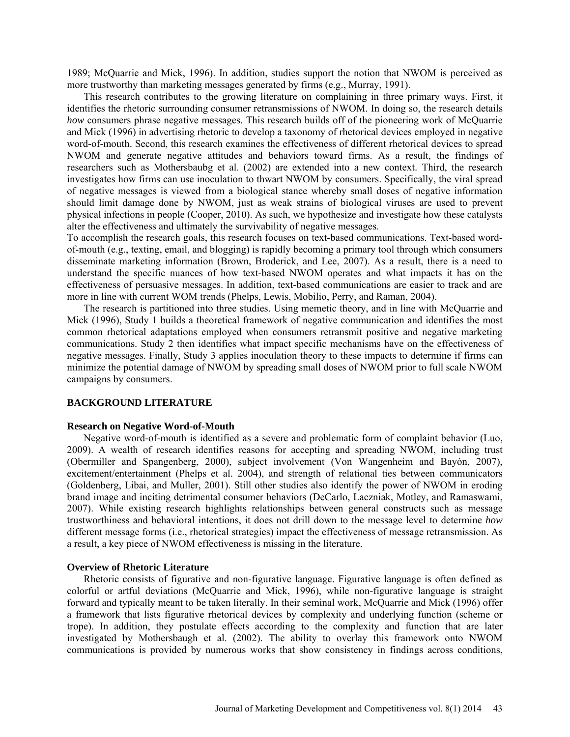1989; McQuarrie and Mick, 1996). In addition, studies support the notion that NWOM is perceived as more trustworthy than marketing messages generated by firms (e.g., Murray, 1991).

This research contributes to the growing literature on complaining in three primary ways. First, it identifies the rhetoric surrounding consumer retransmissions of NWOM. In doing so, the research details *how* consumers phrase negative messages. This research builds off of the pioneering work of McQuarrie and Mick (1996) in advertising rhetoric to develop a taxonomy of rhetorical devices employed in negative word-of-mouth. Second, this research examines the effectiveness of different rhetorical devices to spread NWOM and generate negative attitudes and behaviors toward firms. As a result, the findings of researchers such as Mothersbaubg et al. (2002) are extended into a new context. Third, the research investigates how firms can use inoculation to thwart NWOM by consumers. Specifically, the viral spread of negative messages is viewed from a biological stance whereby small doses of negative information should limit damage done by NWOM, just as weak strains of biological viruses are used to prevent physical infections in people (Cooper, 2010). As such, we hypothesize and investigate how these catalysts alter the effectiveness and ultimately the survivability of negative messages.

To accomplish the research goals, this research focuses on text-based communications. Text-based wordof-mouth (e.g., texting, email, and blogging) is rapidly becoming a primary tool through which consumers disseminate marketing information (Brown, Broderick, and Lee, 2007). As a result, there is a need to understand the specific nuances of how text-based NWOM operates and what impacts it has on the effectiveness of persuasive messages. In addition, text-based communications are easier to track and are more in line with current WOM trends (Phelps, Lewis, Mobilio, Perry, and Raman, 2004).

The research is partitioned into three studies. Using memetic theory, and in line with McQuarrie and Mick (1996), Study 1 builds a theoretical framework of negative communication and identifies the most common rhetorical adaptations employed when consumers retransmit positive and negative marketing communications. Study 2 then identifies what impact specific mechanisms have on the effectiveness of negative messages. Finally, Study 3 applies inoculation theory to these impacts to determine if firms can minimize the potential damage of NWOM by spreading small doses of NWOM prior to full scale NWOM campaigns by consumers.

#### **BACKGROUND LITERATURE**

#### **Research on Negative Word-of-Mouth**

Negative word-of-mouth is identified as a severe and problematic form of complaint behavior (Luo, 2009). A wealth of research identifies reasons for accepting and spreading NWOM, including trust (Obermiller and Spangenberg, 2000), subject involvement (Von Wangenheim and Bayón, 2007), excitement/entertainment (Phelps et al. 2004), and strength of relational ties between communicators (Goldenberg, Libai, and Muller, 2001). Still other studies also identify the power of NWOM in eroding brand image and inciting detrimental consumer behaviors (DeCarlo, Laczniak, Motley, and Ramaswami, 2007). While existing research highlights relationships between general constructs such as message trustworthiness and behavioral intentions, it does not drill down to the message level to determine *how* different message forms (i.e., rhetorical strategies) impact the effectiveness of message retransmission. As a result, a key piece of NWOM effectiveness is missing in the literature.

#### **Overview of Rhetoric Literature**

Rhetoric consists of figurative and non-figurative language. Figurative language is often defined as colorful or artful deviations (McQuarrie and Mick, 1996), while non-figurative language is straight forward and typically meant to be taken literally. In their seminal work, McQuarrie and Mick (1996) offer a framework that lists figurative rhetorical devices by complexity and underlying function (scheme or trope). In addition, they postulate effects according to the complexity and function that are later investigated by Mothersbaugh et al. (2002). The ability to overlay this framework onto NWOM communications is provided by numerous works that show consistency in findings across conditions,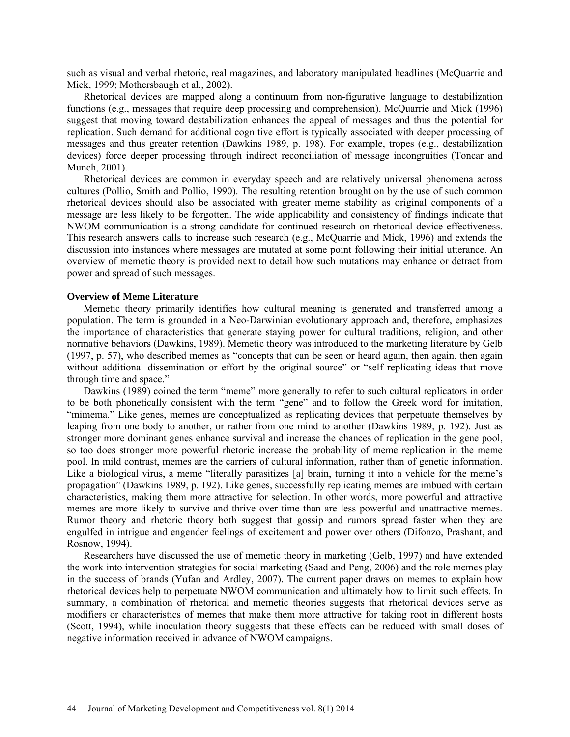such as visual and verbal rhetoric, real magazines, and laboratory manipulated headlines (McQuarrie and Mick, 1999; Mothersbaugh et al., 2002).

Rhetorical devices are mapped along a continuum from non-figurative language to destabilization functions (e.g., messages that require deep processing and comprehension). McQuarrie and Mick (1996) suggest that moving toward destabilization enhances the appeal of messages and thus the potential for replication. Such demand for additional cognitive effort is typically associated with deeper processing of messages and thus greater retention (Dawkins 1989, p. 198). For example, tropes (e.g., destabilization devices) force deeper processing through indirect reconciliation of message incongruities (Toncar and Munch, 2001).

Rhetorical devices are common in everyday speech and are relatively universal phenomena across cultures (Pollio, Smith and Pollio, 1990). The resulting retention brought on by the use of such common rhetorical devices should also be associated with greater meme stability as original components of a message are less likely to be forgotten. The wide applicability and consistency of findings indicate that NWOM communication is a strong candidate for continued research on rhetorical device effectiveness. This research answers calls to increase such research (e.g., McQuarrie and Mick, 1996) and extends the discussion into instances where messages are mutated at some point following their initial utterance. An overview of memetic theory is provided next to detail how such mutations may enhance or detract from power and spread of such messages.

#### **Overview of Meme Literature**

Memetic theory primarily identifies how cultural meaning is generated and transferred among a population. The term is grounded in a Neo-Darwinian evolutionary approach and, therefore, emphasizes the importance of characteristics that generate staying power for cultural traditions, religion, and other normative behaviors (Dawkins, 1989). Memetic theory was introduced to the marketing literature by Gelb (1997, p. 57), who described memes as "concepts that can be seen or heard again, then again, then again without additional dissemination or effort by the original source" or "self replicating ideas that move through time and space."

Dawkins (1989) coined the term "meme" more generally to refer to such cultural replicators in order to be both phonetically consistent with the term "gene" and to follow the Greek word for imitation, "mimema." Like genes, memes are conceptualized as replicating devices that perpetuate themselves by leaping from one body to another, or rather from one mind to another (Dawkins 1989, p. 192). Just as stronger more dominant genes enhance survival and increase the chances of replication in the gene pool, so too does stronger more powerful rhetoric increase the probability of meme replication in the meme pool. In mild contrast, memes are the carriers of cultural information, rather than of genetic information. Like a biological virus, a meme "literally parasitizes [a] brain, turning it into a vehicle for the meme's propagation" (Dawkins 1989, p. 192). Like genes, successfully replicating memes are imbued with certain characteristics, making them more attractive for selection. In other words, more powerful and attractive memes are more likely to survive and thrive over time than are less powerful and unattractive memes. Rumor theory and rhetoric theory both suggest that gossip and rumors spread faster when they are engulfed in intrigue and engender feelings of excitement and power over others (Difonzo, Prashant, and Rosnow, 1994).

Researchers have discussed the use of memetic theory in marketing (Gelb, 1997) and have extended the work into intervention strategies for social marketing (Saad and Peng, 2006) and the role memes play in the success of brands (Yufan and Ardley, 2007). The current paper draws on memes to explain how rhetorical devices help to perpetuate NWOM communication and ultimately how to limit such effects. In summary, a combination of rhetorical and memetic theories suggests that rhetorical devices serve as modifiers or characteristics of memes that make them more attractive for taking root in different hosts (Scott, 1994), while inoculation theory suggests that these effects can be reduced with small doses of negative information received in advance of NWOM campaigns.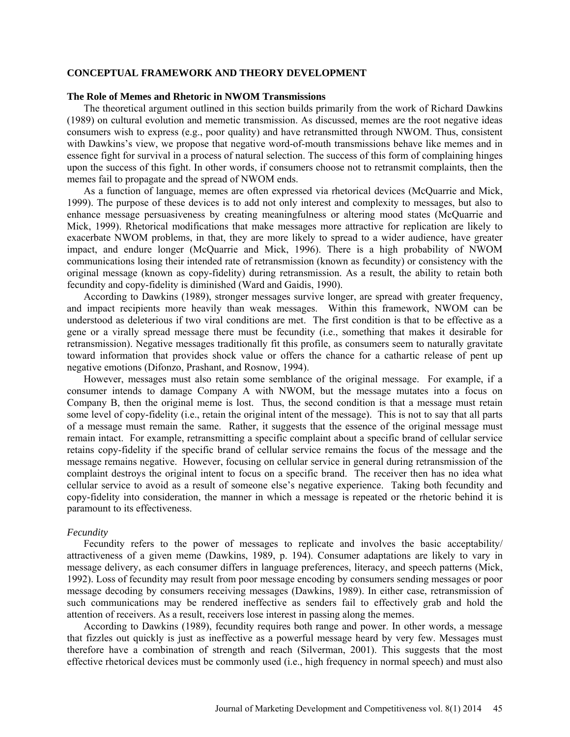#### **CONCEPTUAL FRAMEWORK AND THEORY DEVELOPMENT**

### **The Role of Memes and Rhetoric in NWOM Transmissions**

The theoretical argument outlined in this section builds primarily from the work of Richard Dawkins (1989) on cultural evolution and memetic transmission. As discussed, memes are the root negative ideas consumers wish to express (e.g., poor quality) and have retransmitted through NWOM. Thus, consistent with Dawkins's view, we propose that negative word-of-mouth transmissions behave like memes and in essence fight for survival in a process of natural selection. The success of this form of complaining hinges upon the success of this fight. In other words, if consumers choose not to retransmit complaints, then the memes fail to propagate and the spread of NWOM ends.

As a function of language, memes are often expressed via rhetorical devices (McQuarrie and Mick, 1999). The purpose of these devices is to add not only interest and complexity to messages, but also to enhance message persuasiveness by creating meaningfulness or altering mood states (McQuarrie and Mick, 1999). Rhetorical modifications that make messages more attractive for replication are likely to exacerbate NWOM problems, in that, they are more likely to spread to a wider audience, have greater impact, and endure longer (McQuarrie and Mick, 1996). There is a high probability of NWOM communications losing their intended rate of retransmission (known as fecundity) or consistency with the original message (known as copy-fidelity) during retransmission. As a result, the ability to retain both fecundity and copy-fidelity is diminished (Ward and Gaidis, 1990).

According to Dawkins (1989), stronger messages survive longer, are spread with greater frequency, and impact recipients more heavily than weak messages. Within this framework, NWOM can be understood as deleterious if two viral conditions are met. The first condition is that to be effective as a gene or a virally spread message there must be fecundity (i.e., something that makes it desirable for retransmission). Negative messages traditionally fit this profile, as consumers seem to naturally gravitate toward information that provides shock value or offers the chance for a cathartic release of pent up negative emotions (Difonzo, Prashant, and Rosnow, 1994).

However, messages must also retain some semblance of the original message. For example, if a consumer intends to damage Company A with NWOM, but the message mutates into a focus on Company B, then the original meme is lost. Thus, the second condition is that a message must retain some level of copy-fidelity (i.e., retain the original intent of the message). This is not to say that all parts of a message must remain the same. Rather, it suggests that the essence of the original message must remain intact. For example, retransmitting a specific complaint about a specific brand of cellular service retains copy-fidelity if the specific brand of cellular service remains the focus of the message and the message remains negative. However, focusing on cellular service in general during retransmission of the complaint destroys the original intent to focus on a specific brand. The receiver then has no idea what cellular service to avoid as a result of someone else's negative experience. Taking both fecundity and copy-fidelity into consideration, the manner in which a message is repeated or the rhetoric behind it is paramount to its effectiveness.

#### *Fecundity*

Fecundity refers to the power of messages to replicate and involves the basic acceptability/ attractiveness of a given meme (Dawkins, 1989, p. 194). Consumer adaptations are likely to vary in message delivery, as each consumer differs in language preferences, literacy, and speech patterns (Mick, 1992). Loss of fecundity may result from poor message encoding by consumers sending messages or poor message decoding by consumers receiving messages (Dawkins, 1989). In either case, retransmission of such communications may be rendered ineffective as senders fail to effectively grab and hold the attention of receivers. As a result, receivers lose interest in passing along the memes.

According to Dawkins (1989), fecundity requires both range and power. In other words, a message that fizzles out quickly is just as ineffective as a powerful message heard by very few. Messages must therefore have a combination of strength and reach (Silverman, 2001). This suggests that the most effective rhetorical devices must be commonly used (i.e., high frequency in normal speech) and must also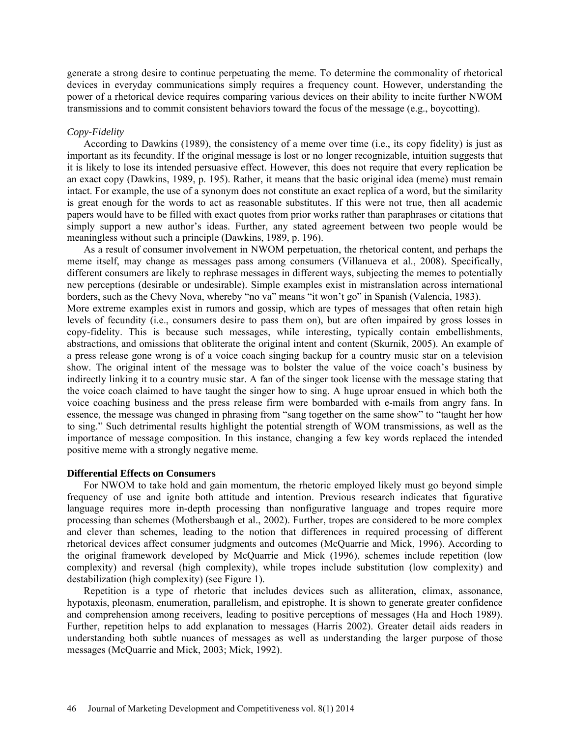generate a strong desire to continue perpetuating the meme. To determine the commonality of rhetorical devices in everyday communications simply requires a frequency count. However, understanding the power of a rhetorical device requires comparing various devices on their ability to incite further NWOM transmissions and to commit consistent behaviors toward the focus of the message (e.g., boycotting).

#### *Copy-Fidelity*

According to Dawkins (1989), the consistency of a meme over time (i.e., its copy fidelity) is just as important as its fecundity. If the original message is lost or no longer recognizable, intuition suggests that it is likely to lose its intended persuasive effect. However, this does not require that every replication be an exact copy (Dawkins, 1989, p. 195). Rather, it means that the basic original idea (meme) must remain intact. For example, the use of a synonym does not constitute an exact replica of a word, but the similarity is great enough for the words to act as reasonable substitutes. If this were not true, then all academic papers would have to be filled with exact quotes from prior works rather than paraphrases or citations that simply support a new author's ideas. Further, any stated agreement between two people would be meaningless without such a principle (Dawkins, 1989, p. 196).

As a result of consumer involvement in NWOM perpetuation, the rhetorical content, and perhaps the meme itself, may change as messages pass among consumers (Villanueva et al., 2008). Specifically, different consumers are likely to rephrase messages in different ways, subjecting the memes to potentially new perceptions (desirable or undesirable). Simple examples exist in mistranslation across international borders, such as the Chevy Nova, whereby "no va" means "it won't go" in Spanish (Valencia, 1983). More extreme examples exist in rumors and gossip, which are types of messages that often retain high levels of fecundity (i.e., consumers desire to pass them on), but are often impaired by gross losses in copy-fidelity. This is because such messages, while interesting, typically contain embellishments, abstractions, and omissions that obliterate the original intent and content (Skurnik, 2005). An example of a press release gone wrong is of a voice coach singing backup for a country music star on a television show. The original intent of the message was to bolster the value of the voice coach's business by indirectly linking it to a country music star. A fan of the singer took license with the message stating that the voice coach claimed to have taught the singer how to sing. A huge uproar ensued in which both the voice coaching business and the press release firm were bombarded with e-mails from angry fans. In essence, the message was changed in phrasing from "sang together on the same show" to "taught her how to sing." Such detrimental results highlight the potential strength of WOM transmissions, as well as the importance of message composition. In this instance, changing a few key words replaced the intended positive meme with a strongly negative meme.

## **Differential Effects on Consumers**

For NWOM to take hold and gain momentum, the rhetoric employed likely must go beyond simple frequency of use and ignite both attitude and intention. Previous research indicates that figurative language requires more in-depth processing than nonfigurative language and tropes require more processing than schemes (Mothersbaugh et al., 2002). Further, tropes are considered to be more complex and clever than schemes, leading to the notion that differences in required processing of different rhetorical devices affect consumer judgments and outcomes (McQuarrie and Mick, 1996). According to the original framework developed by McQuarrie and Mick (1996), schemes include repetition (low complexity) and reversal (high complexity), while tropes include substitution (low complexity) and destabilization (high complexity) (see Figure 1).

Repetition is a type of rhetoric that includes devices such as alliteration, climax, assonance, hypotaxis, pleonasm, enumeration, parallelism, and epistrophe. It is shown to generate greater confidence and comprehension among receivers, leading to positive perceptions of messages (Ha and Hoch 1989). Further, repetition helps to add explanation to messages (Harris 2002). Greater detail aids readers in understanding both subtle nuances of messages as well as understanding the larger purpose of those messages (McQuarrie and Mick, 2003; Mick, 1992).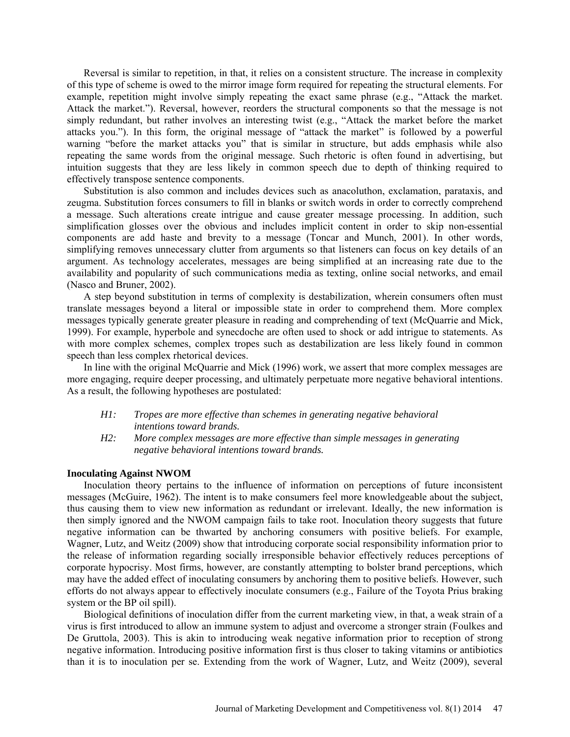Reversal is similar to repetition, in that, it relies on a consistent structure. The increase in complexity of this type of scheme is owed to the mirror image form required for repeating the structural elements. For example, repetition might involve simply repeating the exact same phrase (e.g., "Attack the market. Attack the market."). Reversal, however, reorders the structural components so that the message is not simply redundant, but rather involves an interesting twist (e.g., "Attack the market before the market attacks you."). In this form, the original message of "attack the market" is followed by a powerful warning "before the market attacks you" that is similar in structure, but adds emphasis while also repeating the same words from the original message. Such rhetoric is often found in advertising, but intuition suggests that they are less likely in common speech due to depth of thinking required to effectively transpose sentence components.

Substitution is also common and includes devices such as anacoluthon, exclamation, parataxis, and zeugma. Substitution forces consumers to fill in blanks or switch words in order to correctly comprehend a message. Such alterations create intrigue and cause greater message processing. In addition, such simplification glosses over the obvious and includes implicit content in order to skip non-essential components are add haste and brevity to a message (Toncar and Munch, 2001). In other words, simplifying removes unnecessary clutter from arguments so that listeners can focus on key details of an argument. As technology accelerates, messages are being simplified at an increasing rate due to the availability and popularity of such communications media as texting, online social networks, and email (Nasco and Bruner, 2002).

A step beyond substitution in terms of complexity is destabilization, wherein consumers often must translate messages beyond a literal or impossible state in order to comprehend them. More complex messages typically generate greater pleasure in reading and comprehending of text (McQuarrie and Mick, 1999). For example, hyperbole and synecdoche are often used to shock or add intrigue to statements. As with more complex schemes, complex tropes such as destabilization are less likely found in common speech than less complex rhetorical devices.

In line with the original McQuarrie and Mick (1996) work, we assert that more complex messages are more engaging, require deeper processing, and ultimately perpetuate more negative behavioral intentions. As a result, the following hypotheses are postulated:

- *H1: Tropes are more effective than schemes in generating negative behavioral intentions toward brands.*
- *H2: More complex messages are more effective than simple messages in generating negative behavioral intentions toward brands.*

#### **Inoculating Against NWOM**

Inoculation theory pertains to the influence of information on perceptions of future inconsistent messages (McGuire, 1962). The intent is to make consumers feel more knowledgeable about the subject, thus causing them to view new information as redundant or irrelevant. Ideally, the new information is then simply ignored and the NWOM campaign fails to take root. Inoculation theory suggests that future negative information can be thwarted by anchoring consumers with positive beliefs. For example, Wagner, Lutz, and Weitz (2009) show that introducing corporate social responsibility information prior to the release of information regarding socially irresponsible behavior effectively reduces perceptions of corporate hypocrisy. Most firms, however, are constantly attempting to bolster brand perceptions, which may have the added effect of inoculating consumers by anchoring them to positive beliefs. However, such efforts do not always appear to effectively inoculate consumers (e.g., Failure of the Toyota Prius braking system or the BP oil spill).

Biological definitions of inoculation differ from the current marketing view, in that, a weak strain of a virus is first introduced to allow an immune system to adjust and overcome a stronger strain (Foulkes and De Gruttola, 2003). This is akin to introducing weak negative information prior to reception of strong negative information. Introducing positive information first is thus closer to taking vitamins or antibiotics than it is to inoculation per se. Extending from the work of Wagner, Lutz, and Weitz (2009), several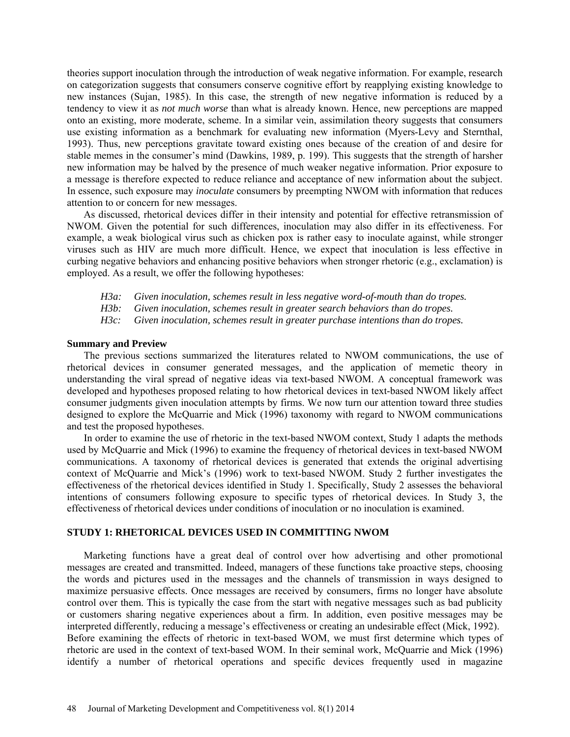theories support inoculation through the introduction of weak negative information. For example, research on categorization suggests that consumers conserve cognitive effort by reapplying existing knowledge to new instances (Sujan, 1985). In this case, the strength of new negative information is reduced by a tendency to view it as *not much worse* than what is already known. Hence, new perceptions are mapped onto an existing, more moderate, scheme. In a similar vein, assimilation theory suggests that consumers use existing information as a benchmark for evaluating new information (Myers-Levy and Sternthal, 1993). Thus, new perceptions gravitate toward existing ones because of the creation of and desire for stable memes in the consumer's mind (Dawkins, 1989, p. 199). This suggests that the strength of harsher new information may be halved by the presence of much weaker negative information. Prior exposure to a message is therefore expected to reduce reliance and acceptance of new information about the subject. In essence, such exposure may *inoculate* consumers by preempting NWOM with information that reduces attention to or concern for new messages.

As discussed, rhetorical devices differ in their intensity and potential for effective retransmission of NWOM. Given the potential for such differences, inoculation may also differ in its effectiveness. For example, a weak biological virus such as chicken pox is rather easy to inoculate against, while stronger viruses such as HIV are much more difficult. Hence, we expect that inoculation is less effective in curbing negative behaviors and enhancing positive behaviors when stronger rhetoric (e.g., exclamation) is employed. As a result, we offer the following hypotheses:

- *H3a: Given inoculation, schemes result in less negative word-of-mouth than do tropes.*
- *H3b: Given inoculation, schemes result in greater search behaviors than do tropes.*
- *H3c: Given inoculation, schemes result in greater purchase intentions than do tropes.*

#### **Summary and Preview**

The previous sections summarized the literatures related to NWOM communications, the use of rhetorical devices in consumer generated messages, and the application of memetic theory in understanding the viral spread of negative ideas via text-based NWOM. A conceptual framework was developed and hypotheses proposed relating to how rhetorical devices in text-based NWOM likely affect consumer judgments given inoculation attempts by firms. We now turn our attention toward three studies designed to explore the McQuarrie and Mick (1996) taxonomy with regard to NWOM communications and test the proposed hypotheses.

In order to examine the use of rhetoric in the text-based NWOM context, Study 1 adapts the methods used by McQuarrie and Mick (1996) to examine the frequency of rhetorical devices in text-based NWOM communications. A taxonomy of rhetorical devices is generated that extends the original advertising context of McQuarrie and Mick's (1996) work to text-based NWOM. Study 2 further investigates the effectiveness of the rhetorical devices identified in Study 1. Specifically, Study 2 assesses the behavioral intentions of consumers following exposure to specific types of rhetorical devices. In Study 3, the effectiveness of rhetorical devices under conditions of inoculation or no inoculation is examined.

## **STUDY 1: RHETORICAL DEVICES USED IN COMMITTING NWOM**

Marketing functions have a great deal of control over how advertising and other promotional messages are created and transmitted. Indeed, managers of these functions take proactive steps, choosing the words and pictures used in the messages and the channels of transmission in ways designed to maximize persuasive effects. Once messages are received by consumers, firms no longer have absolute control over them. This is typically the case from the start with negative messages such as bad publicity or customers sharing negative experiences about a firm. In addition, even positive messages may be interpreted differently, reducing a message's effectiveness or creating an undesirable effect (Mick, 1992). Before examining the effects of rhetoric in text-based WOM, we must first determine which types of rhetoric are used in the context of text-based WOM. In their seminal work, McQuarrie and Mick (1996) identify a number of rhetorical operations and specific devices frequently used in magazine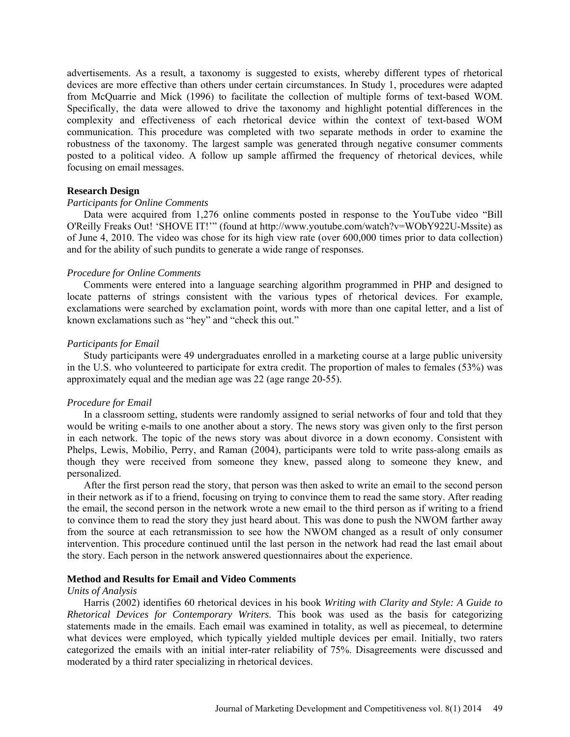advertisements. As a result, a taxonomy is suggested to exists, whereby different types of rhetorical devices are more effective than others under certain circumstances. In Study 1, procedures were adapted from McQuarrie and Mick (1996) to facilitate the collection of multiple forms of text-based WOM. Specifically, the data were allowed to drive the taxonomy and highlight potential differences in the complexity and effectiveness of each rhetorical device within the context of text-based WOM communication. This procedure was completed with two separate methods in order to examine the robustness of the taxonomy. The largest sample was generated through negative consumer comments posted to a political video. A follow up sample affirmed the frequency of rhetorical devices, while focusing on email messages.

#### **Research Design**

#### *Participants for Online Comments*

Data were acquired from 1,276 online comments posted in response to the YouTube video "Bill O'Reilly Freaks Out! 'SHOVE IT!'" (found at http://www.youtube.com/watch?v=WObY922U-Mssite) as of June 4, 2010. The video was chose for its high view rate (over 600,000 times prior to data collection) and for the ability of such pundits to generate a wide range of responses.

#### *Procedure for Online Comments*

Comments were entered into a language searching algorithm programmed in PHP and designed to locate patterns of strings consistent with the various types of rhetorical devices. For example, exclamations were searched by exclamation point, words with more than one capital letter, and a list of known exclamations such as "hey" and "check this out."

#### *Participants for Email*

Study participants were 49 undergraduates enrolled in a marketing course at a large public university in the U.S. who volunteered to participate for extra credit. The proportion of males to females (53%) was approximately equal and the median age was 22 (age range 20-55).

#### *Procedure for Email*

In a classroom setting, students were randomly assigned to serial networks of four and told that they would be writing e-mails to one another about a story. The news story was given only to the first person in each network. The topic of the news story was about divorce in a down economy. Consistent with Phelps, Lewis, Mobilio, Perry, and Raman (2004), participants were told to write pass-along emails as though they were received from someone they knew, passed along to someone they knew, and personalized.

After the first person read the story, that person was then asked to write an email to the second person in their network as if to a friend, focusing on trying to convince them to read the same story. After reading the email, the second person in the network wrote a new email to the third person as if writing to a friend to convince them to read the story they just heard about. This was done to push the NWOM farther away from the source at each retransmission to see how the NWOM changed as a result of only consumer intervention. This procedure continued until the last person in the network had read the last email about the story. Each person in the network answered questionnaires about the experience.

#### **Method and Results for Email and Video Comments**

#### *Units of Analysis*

Harris (2002) identifies 60 rhetorical devices in his book *Writing with Clarity and Style: A Guide to Rhetorical Devices for Contemporary Writers*. This book was used as the basis for categorizing statements made in the emails. Each email was examined in totality, as well as piecemeal, to determine what devices were employed, which typically yielded multiple devices per email. Initially, two raters categorized the emails with an initial inter-rater reliability of 75%. Disagreements were discussed and moderated by a third rater specializing in rhetorical devices.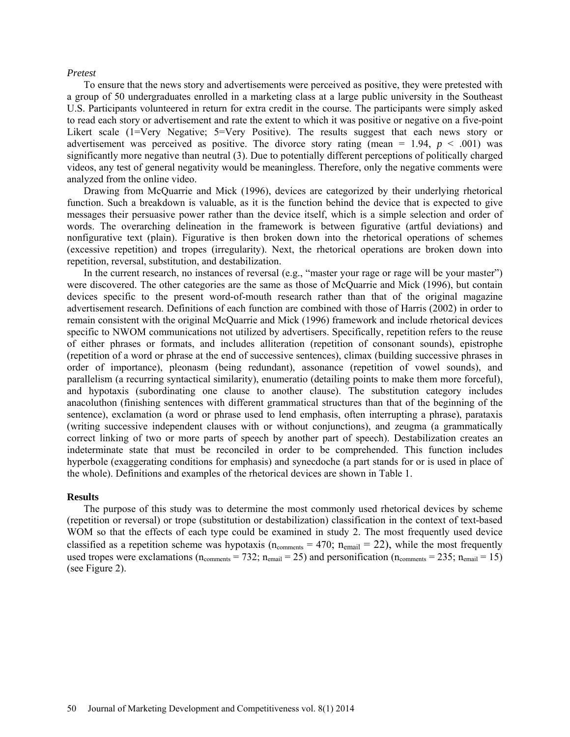#### *Pretest*

To ensure that the news story and advertisements were perceived as positive, they were pretested with a group of 50 undergraduates enrolled in a marketing class at a large public university in the Southeast U.S. Participants volunteered in return for extra credit in the course. The participants were simply asked to read each story or advertisement and rate the extent to which it was positive or negative on a five-point Likert scale (1=Very Negative; 5=Very Positive). The results suggest that each news story or advertisement was perceived as positive. The divorce story rating (mean =  $1.94$ ,  $p < .001$ ) was significantly more negative than neutral (3). Due to potentially different perceptions of politically charged videos, any test of general negativity would be meaningless. Therefore, only the negative comments were analyzed from the online video.

Drawing from McQuarrie and Mick (1996), devices are categorized by their underlying rhetorical function. Such a breakdown is valuable, as it is the function behind the device that is expected to give messages their persuasive power rather than the device itself, which is a simple selection and order of words. The overarching delineation in the framework is between figurative (artful deviations) and nonfigurative text (plain). Figurative is then broken down into the rhetorical operations of schemes (excessive repetition) and tropes (irregularity). Next, the rhetorical operations are broken down into repetition, reversal, substitution, and destabilization.

In the current research, no instances of reversal (e.g., "master your rage or rage will be your master") were discovered. The other categories are the same as those of McQuarrie and Mick (1996), but contain devices specific to the present word-of-mouth research rather than that of the original magazine advertisement research. Definitions of each function are combined with those of Harris (2002) in order to remain consistent with the original McQuarrie and Mick (1996) framework and include rhetorical devices specific to NWOM communications not utilized by advertisers. Specifically, repetition refers to the reuse of either phrases or formats, and includes alliteration (repetition of consonant sounds), epistrophe (repetition of a word or phrase at the end of successive sentences), climax (building successive phrases in order of importance), pleonasm (being redundant), assonance (repetition of vowel sounds), and parallelism (a recurring syntactical similarity), enumeratio (detailing points to make them more forceful), and hypotaxis (subordinating one clause to another clause). The substitution category includes anacoluthon (finishing sentences with different grammatical structures than that of the beginning of the sentence), exclamation (a word or phrase used to lend emphasis, often interrupting a phrase), parataxis (writing successive independent clauses with or without conjunctions), and zeugma (a grammatically correct linking of two or more parts of speech by another part of speech). Destabilization creates an indeterminate state that must be reconciled in order to be comprehended. This function includes hyperbole (exaggerating conditions for emphasis) and synecdoche (a part stands for or is used in place of the whole). Definitions and examples of the rhetorical devices are shown in Table 1.

## **Results**

The purpose of this study was to determine the most commonly used rhetorical devices by scheme (repetition or reversal) or trope (substitution or destabilization) classification in the context of text-based WOM so that the effects of each type could be examined in study 2. The most frequently used device classified as a repetition scheme was hypotaxis ( $n_{\text{comments}} = 470$ ;  $n_{\text{email}} = 22$ ), while the most frequently used tropes were exclamations ( $n_{\text{comments}} = 732$ ;  $n_{\text{email}} = 25$ ) and personification ( $n_{\text{comments}} = 235$ ;  $n_{\text{email}} = 15$ ) (see Figure 2).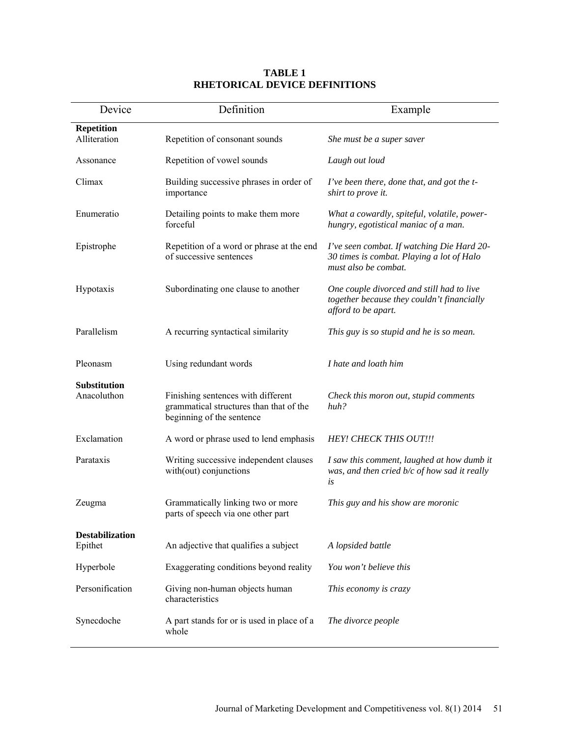| Device                             | Definition                                                                                                 | Example                                                                                                         |  |
|------------------------------------|------------------------------------------------------------------------------------------------------------|-----------------------------------------------------------------------------------------------------------------|--|
| <b>Repetition</b><br>Alliteration  | Repetition of consonant sounds                                                                             | She must be a super saver                                                                                       |  |
| Assonance                          | Repetition of vowel sounds                                                                                 | Laugh out loud                                                                                                  |  |
| Climax                             | Building successive phrases in order of<br>importance                                                      | I've been there, done that, and got the t-<br>shirt to prove it.                                                |  |
| Enumeratio                         | Detailing points to make them more<br>forceful                                                             | What a cowardly, spiteful, volatile, power-<br>hungry, egotistical maniac of a man.                             |  |
| Epistrophe                         | Repetition of a word or phrase at the end<br>of successive sentences                                       | I've seen combat. If watching Die Hard 20-<br>30 times is combat. Playing a lot of Halo<br>must also be combat. |  |
| Hypotaxis                          | Subordinating one clause to another                                                                        | One couple divorced and still had to live<br>together because they couldn't financially<br>afford to be apart.  |  |
| Parallelism                        | A recurring syntactical similarity                                                                         | This guy is so stupid and he is so mean.                                                                        |  |
| Pleonasm                           | Using redundant words                                                                                      | I hate and loath him                                                                                            |  |
| <b>Substitution</b><br>Anacoluthon | Finishing sentences with different<br>grammatical structures than that of the<br>beginning of the sentence | Check this moron out, stupid comments<br>huh?                                                                   |  |
| Exclamation                        | A word or phrase used to lend emphasis                                                                     | <b>HEY! CHECK THIS OUT!!!</b>                                                                                   |  |
| Parataxis                          | Writing successive independent clauses<br>with(out) conjunctions                                           | I saw this comment, laughed at how dumb it<br>was, and then cried b/c of how sad it really<br>is                |  |
| Zeugma                             | Grammatically linking two or more<br>parts of speech via one other part                                    | This guy and his show are moronic                                                                               |  |
| <b>Destabilization</b><br>Epithet  | An adjective that qualifies a subject                                                                      | A lopsided battle                                                                                               |  |
| Hyperbole                          | Exaggerating conditions beyond reality                                                                     | You won't believe this                                                                                          |  |
| Personification                    | Giving non-human objects human<br>characteristics                                                          | This economy is crazy                                                                                           |  |
| Synecdoche                         | A part stands for or is used in place of a<br>whole                                                        | The divorce people                                                                                              |  |

# **TABLE 1 RHETORICAL DEVICE DEFINITIONS**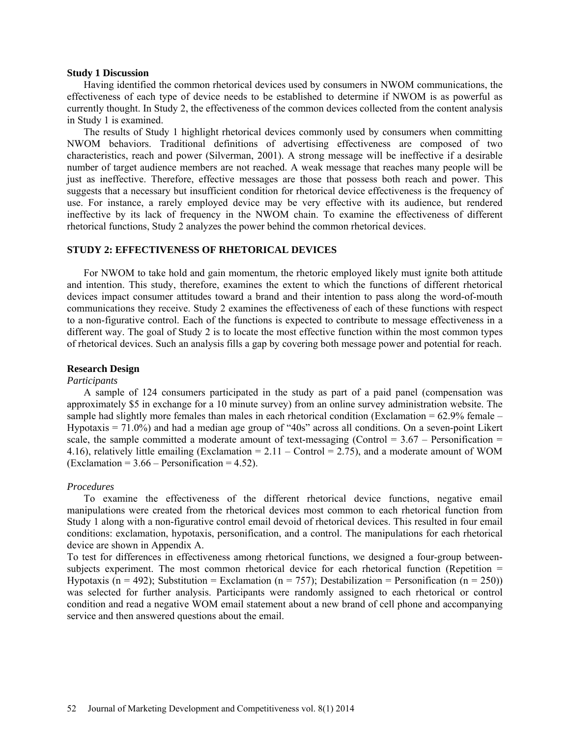#### **Study 1 Discussion**

Having identified the common rhetorical devices used by consumers in NWOM communications, the effectiveness of each type of device needs to be established to determine if NWOM is as powerful as currently thought. In Study 2, the effectiveness of the common devices collected from the content analysis in Study 1 is examined.

The results of Study 1 highlight rhetorical devices commonly used by consumers when committing NWOM behaviors. Traditional definitions of advertising effectiveness are composed of two characteristics, reach and power (Silverman, 2001). A strong message will be ineffective if a desirable number of target audience members are not reached. A weak message that reaches many people will be just as ineffective. Therefore, effective messages are those that possess both reach and power. This suggests that a necessary but insufficient condition for rhetorical device effectiveness is the frequency of use. For instance, a rarely employed device may be very effective with its audience, but rendered ineffective by its lack of frequency in the NWOM chain. To examine the effectiveness of different rhetorical functions, Study 2 analyzes the power behind the common rhetorical devices.

## **STUDY 2: EFFECTIVENESS OF RHETORICAL DEVICES**

For NWOM to take hold and gain momentum, the rhetoric employed likely must ignite both attitude and intention. This study, therefore, examines the extent to which the functions of different rhetorical devices impact consumer attitudes toward a brand and their intention to pass along the word-of-mouth communications they receive. Study 2 examines the effectiveness of each of these functions with respect to a non-figurative control. Each of the functions is expected to contribute to message effectiveness in a different way. The goal of Study 2 is to locate the most effective function within the most common types of rhetorical devices. Such an analysis fills a gap by covering both message power and potential for reach.

## **Research Design**

#### *Participants*

A sample of 124 consumers participated in the study as part of a paid panel (compensation was approximately \$5 in exchange for a 10 minute survey) from an online survey administration website. The sample had slightly more females than males in each rhetorical condition (Exclamation  $= 62.9\%$  female – Hypotaxis = 71.0%) and had a median age group of "40s" across all conditions. On a seven-point Likert scale, the sample committed a moderate amount of text-messaging (Control  $= 3.67$  – Personification  $=$ 4.16), relatively little emailing (Exclamation =  $2.11 -$ Control =  $2.75$ ), and a moderate amount of WOM  $(Exclamation = 3.66 - Personification = 4.52).$ 

#### *Procedures*

To examine the effectiveness of the different rhetorical device functions, negative email manipulations were created from the rhetorical devices most common to each rhetorical function from Study 1 along with a non-figurative control email devoid of rhetorical devices. This resulted in four email conditions: exclamation, hypotaxis, personification, and a control. The manipulations for each rhetorical device are shown in Appendix A.

To test for differences in effectiveness among rhetorical functions, we designed a four-group betweensubjects experiment. The most common rhetorical device for each rhetorical function (Repetition = Hypotaxis (n = 492); Substitution = Exclamation (n = 757); Destabilization = Personification (n = 250)) was selected for further analysis. Participants were randomly assigned to each rhetorical or control condition and read a negative WOM email statement about a new brand of cell phone and accompanying service and then answered questions about the email.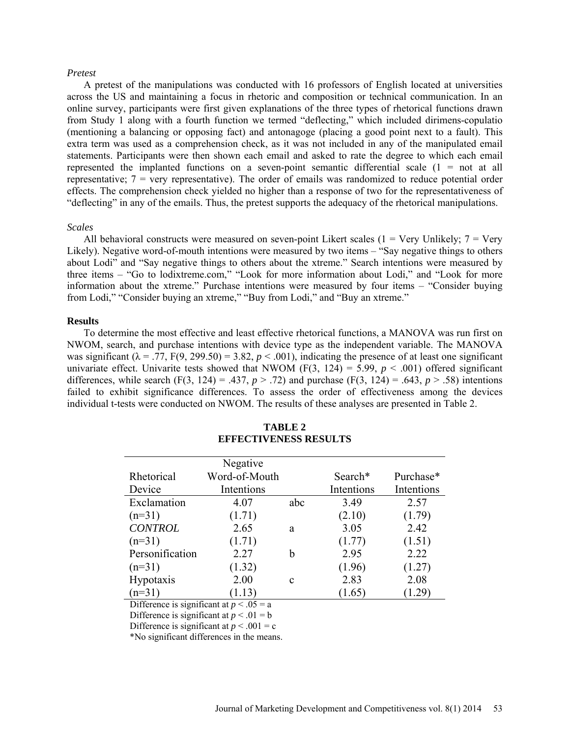#### *Pretest*

A pretest of the manipulations was conducted with 16 professors of English located at universities across the US and maintaining a focus in rhetoric and composition or technical communication. In an online survey, participants were first given explanations of the three types of rhetorical functions drawn from Study 1 along with a fourth function we termed "deflecting," which included dirimens-copulatio (mentioning a balancing or opposing fact) and antonagoge (placing a good point next to a fault). This extra term was used as a comprehension check, as it was not included in any of the manipulated email statements. Participants were then shown each email and asked to rate the degree to which each email represented the implanted functions on a seven-point semantic differential scale  $(1 = not at all$ representative; 7 = very representative). The order of emails was randomized to reduce potential order effects. The comprehension check yielded no higher than a response of two for the representativeness of "deflecting" in any of the emails. Thus, the pretest supports the adequacy of the rhetorical manipulations.

## *Scales*

All behavioral constructs were measured on seven-point Likert scales ( $1 = \text{Very Unlikely}; 7 = \text{Very}$ ) Likely). Negative word-of-mouth intentions were measured by two items – "Say negative things to others about Lodi" and "Say negative things to others about the xtreme." Search intentions were measured by three items – "Go to lodixtreme.com," "Look for more information about Lodi," and "Look for more information about the xtreme." Purchase intentions were measured by four items – "Consider buying from Lodi," "Consider buying an xtreme," "Buy from Lodi," and "Buy an xtreme."

#### **Results**

To determine the most effective and least effective rhetorical functions, a MANOVA was run first on NWOM, search, and purchase intentions with device type as the independent variable. The MANOVA was significant ( $\lambda = .77$ , F(9, 299.50) = 3.82,  $p < .001$ ), indicating the presence of at least one significant univariate effect. Univarite tests showed that NWOM  $(F(3, 124) = 5.99, p < .001)$  offered significant differences, while search  $(F(3, 124) = .437, p > .72)$  and purchase  $(F(3, 124) = .643, p > .58)$  intentions failed to exhibit significance differences. To assess the order of effectiveness among the devices individual t-tests were conducted on NWOM. The results of these analyses are presented in Table 2.

|                 | Negative      |     |            |            |
|-----------------|---------------|-----|------------|------------|
| Rhetorical      | Word-of-Mouth |     | Search*    | Purchase*  |
| Device          | Intentions    |     | Intentions | Intentions |
| Exclamation     | 4.07          | abc | 3.49       | 2.57       |
| $(n=31)$        | (1.71)        |     | (2.10)     | (1.79)     |
| <b>CONTROL</b>  | 2.65          | a   | 3.05       | 2.42       |
| $(n=31)$        | (1.71)        |     | (1.77)     | (1.51)     |
| Personification | 2.27          | h   | 2.95       | 2.22       |
| $(n=31)$        | (1.32)        |     | (1.96)     | (1.27)     |
| Hypotaxis       | 2.00          | C   | 2.83       | 2.08       |
| $(n=31)$        | (1.13)        |     | (1.65)     | 1.29       |
|                 |               |     |            |            |

#### **TABLE 2 EFFECTIVENESS RESULTS**

Difference is significant at  $p < .05 = a$ 

Difference is significant at  $p < .01 = b$ 

Difference is significant at  $p < .001 = c$ 

\*No significant differences in the means.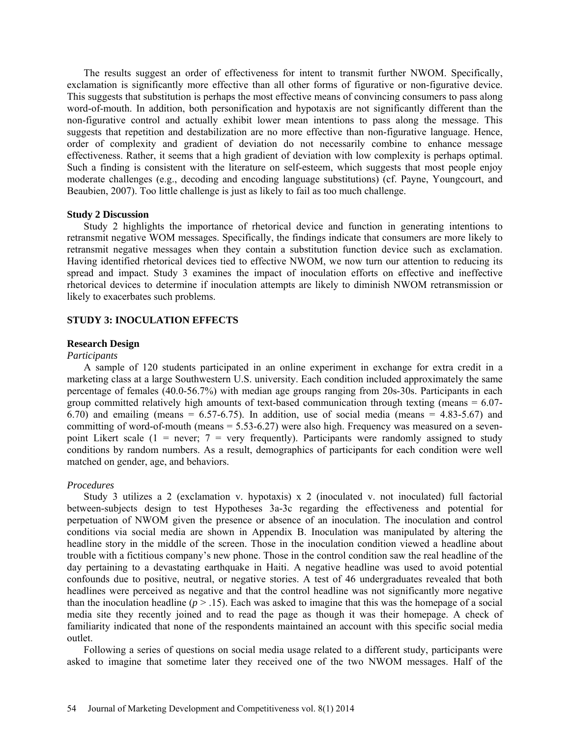The results suggest an order of effectiveness for intent to transmit further NWOM. Specifically, exclamation is significantly more effective than all other forms of figurative or non-figurative device. This suggests that substitution is perhaps the most effective means of convincing consumers to pass along word-of-mouth. In addition, both personification and hypotaxis are not significantly different than the non-figurative control and actually exhibit lower mean intentions to pass along the message. This suggests that repetition and destabilization are no more effective than non-figurative language. Hence, order of complexity and gradient of deviation do not necessarily combine to enhance message effectiveness. Rather, it seems that a high gradient of deviation with low complexity is perhaps optimal. Such a finding is consistent with the literature on self-esteem, which suggests that most people enjoy moderate challenges (e.g., decoding and encoding language substitutions) (cf. Payne, Youngcourt, and Beaubien, 2007). Too little challenge is just as likely to fail as too much challenge.

#### **Study 2 Discussion**

Study 2 highlights the importance of rhetorical device and function in generating intentions to retransmit negative WOM messages. Specifically, the findings indicate that consumers are more likely to retransmit negative messages when they contain a substitution function device such as exclamation. Having identified rhetorical devices tied to effective NWOM, we now turn our attention to reducing its spread and impact. Study 3 examines the impact of inoculation efforts on effective and ineffective rhetorical devices to determine if inoculation attempts are likely to diminish NWOM retransmission or likely to exacerbates such problems.

## **STUDY 3: INOCULATION EFFECTS**

## **Research Design**

## *Participants*

A sample of 120 students participated in an online experiment in exchange for extra credit in a marketing class at a large Southwestern U.S. university. Each condition included approximately the same percentage of females (40.0-56.7%) with median age groups ranging from 20s-30s. Participants in each group committed relatively high amounts of text-based communication through texting (means = 6.07-  $(6.70)$  and emailing (means =  $(6.57-6.75)$ ). In addition, use of social media (means = 4.83-5.67) and committing of word-of-mouth (means = 5.53-6.27) were also high. Frequency was measured on a sevenpoint Likert scale (1 = never; 7 = very frequently). Participants were randomly assigned to study conditions by random numbers. As a result, demographics of participants for each condition were well matched on gender, age, and behaviors.

#### *Procedures*

Study 3 utilizes a 2 (exclamation v. hypotaxis)  $x$  2 (inoculated v. not inoculated) full factorial between-subjects design to test Hypotheses 3a-3c regarding the effectiveness and potential for perpetuation of NWOM given the presence or absence of an inoculation. The inoculation and control conditions via social media are shown in Appendix B. Inoculation was manipulated by altering the headline story in the middle of the screen. Those in the inoculation condition viewed a headline about trouble with a fictitious company's new phone. Those in the control condition saw the real headline of the day pertaining to a devastating earthquake in Haiti. A negative headline was used to avoid potential confounds due to positive, neutral, or negative stories. A test of 46 undergraduates revealed that both headlines were perceived as negative and that the control headline was not significantly more negative than the inoculation headline  $(p > 0.15)$ . Each was asked to imagine that this was the homepage of a social media site they recently joined and to read the page as though it was their homepage. A check of familiarity indicated that none of the respondents maintained an account with this specific social media outlet.

Following a series of questions on social media usage related to a different study, participants were asked to imagine that sometime later they received one of the two NWOM messages. Half of the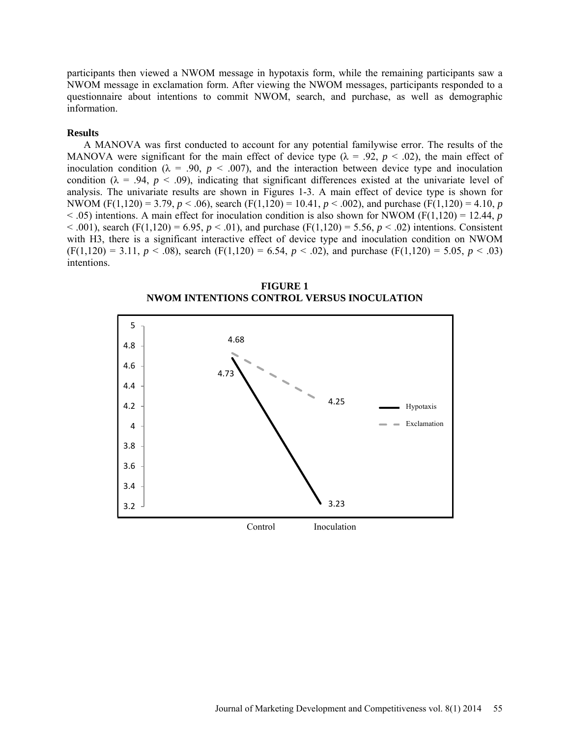participants then viewed a NWOM message in hypotaxis form, while the remaining participants saw a NWOM message in exclamation form. After viewing the NWOM messages, participants responded to a questionnaire about intentions to commit NWOM, search, and purchase, as well as demographic information.

#### **Results**

A MANOVA was first conducted to account for any potential familywise error. The results of the MANOVA were significant for the main effect of device type ( $\lambda = .92$ ,  $p < .02$ ), the main effect of inoculation condition ( $\lambda = .90$ ,  $p < .007$ ), and the interaction between device type and inoculation condition ( $\lambda = .94$ ,  $p < .09$ ), indicating that significant differences existed at the univariate level of analysis. The univariate results are shown in Figures 1-3. A main effect of device type is shown for NWOM (F(1,120) = 3.79, *p* < .06), search (F(1,120) = 10.41, *p* < .002), and purchase (F(1,120) = 4.10, *p*  $<$  0.05) intentions. A main effect for inoculation condition is also shown for NWOM (F(1,120) = 12.44, *p*  $(5.001)$ , search (F(1,120) = 6.95, *p* < .01), and purchase (F(1,120) = 5.56, *p* < .02) intentions. Consistent with H3, there is a significant interactive effect of device type and inoculation condition on NWOM  $(F(1,120) = 3.11, p \le 0.08)$ , search  $(F(1,120) = 6.54, p \le 0.02)$ , and purchase  $(F(1,120) = 5.05, p \le 0.03)$ intentions.



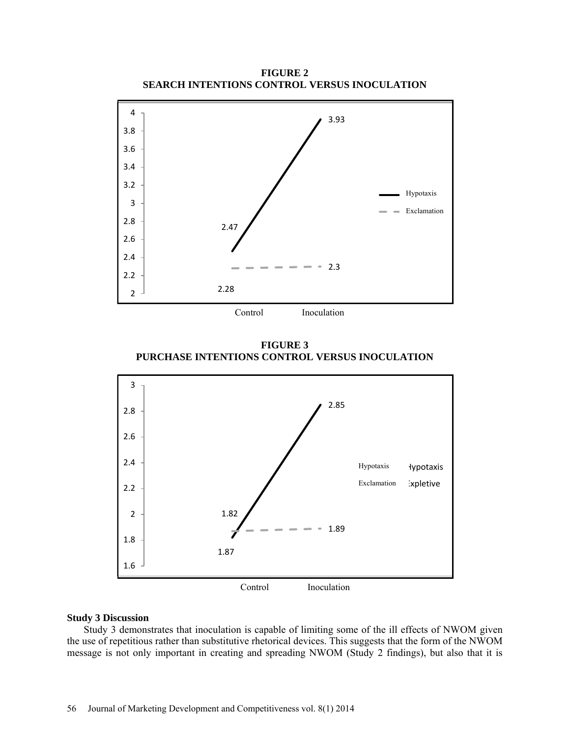**FIGURE 2 SEARCH INTENTIONS CONTROL VERSUS INOCULATION**



**FIGURE 3 PURCHASE INTENTIONS CONTROL VERSUS INOCULATION**



## **Study 3 Discussion**

Study 3 demonstrates that inoculation is capable of limiting some of the ill effects of NWOM given the use of repetitious rather than substitutive rhetorical devices. This suggests that the form of the NWOM message is not only important in creating and spreading NWOM (Study 2 findings), but also that it is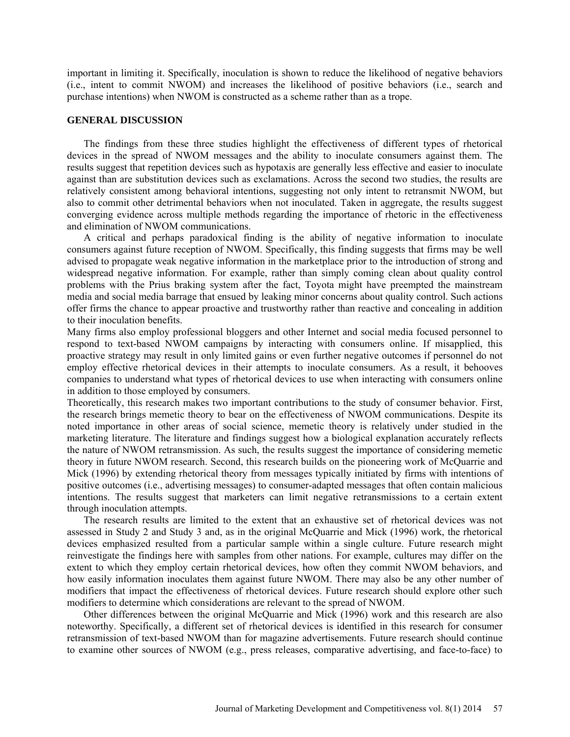important in limiting it. Specifically, inoculation is shown to reduce the likelihood of negative behaviors (i.e., intent to commit NWOM) and increases the likelihood of positive behaviors (i.e., search and purchase intentions) when NWOM is constructed as a scheme rather than as a trope.

## **GENERAL DISCUSSION**

The findings from these three studies highlight the effectiveness of different types of rhetorical devices in the spread of NWOM messages and the ability to inoculate consumers against them. The results suggest that repetition devices such as hypotaxis are generally less effective and easier to inoculate against than are substitution devices such as exclamations. Across the second two studies, the results are relatively consistent among behavioral intentions, suggesting not only intent to retransmit NWOM, but also to commit other detrimental behaviors when not inoculated. Taken in aggregate, the results suggest converging evidence across multiple methods regarding the importance of rhetoric in the effectiveness and elimination of NWOM communications.

A critical and perhaps paradoxical finding is the ability of negative information to inoculate consumers against future reception of NWOM. Specifically, this finding suggests that firms may be well advised to propagate weak negative information in the marketplace prior to the introduction of strong and widespread negative information. For example, rather than simply coming clean about quality control problems with the Prius braking system after the fact, Toyota might have preempted the mainstream media and social media barrage that ensued by leaking minor concerns about quality control. Such actions offer firms the chance to appear proactive and trustworthy rather than reactive and concealing in addition to their inoculation benefits.

Many firms also employ professional bloggers and other Internet and social media focused personnel to respond to text-based NWOM campaigns by interacting with consumers online. If misapplied, this proactive strategy may result in only limited gains or even further negative outcomes if personnel do not employ effective rhetorical devices in their attempts to inoculate consumers. As a result, it behooves companies to understand what types of rhetorical devices to use when interacting with consumers online in addition to those employed by consumers.

Theoretically, this research makes two important contributions to the study of consumer behavior. First, the research brings memetic theory to bear on the effectiveness of NWOM communications. Despite its noted importance in other areas of social science, memetic theory is relatively under studied in the marketing literature. The literature and findings suggest how a biological explanation accurately reflects the nature of NWOM retransmission. As such, the results suggest the importance of considering memetic theory in future NWOM research. Second, this research builds on the pioneering work of McQuarrie and Mick (1996) by extending rhetorical theory from messages typically initiated by firms with intentions of positive outcomes (i.e., advertising messages) to consumer-adapted messages that often contain malicious intentions. The results suggest that marketers can limit negative retransmissions to a certain extent through inoculation attempts.

The research results are limited to the extent that an exhaustive set of rhetorical devices was not assessed in Study 2 and Study 3 and, as in the original McQuarrie and Mick (1996) work, the rhetorical devices emphasized resulted from a particular sample within a single culture. Future research might reinvestigate the findings here with samples from other nations. For example, cultures may differ on the extent to which they employ certain rhetorical devices, how often they commit NWOM behaviors, and how easily information inoculates them against future NWOM. There may also be any other number of modifiers that impact the effectiveness of rhetorical devices. Future research should explore other such modifiers to determine which considerations are relevant to the spread of NWOM.

Other differences between the original McQuarrie and Mick (1996) work and this research are also noteworthy. Specifically, a different set of rhetorical devices is identified in this research for consumer retransmission of text-based NWOM than for magazine advertisements. Future research should continue to examine other sources of NWOM (e.g., press releases, comparative advertising, and face-to-face) to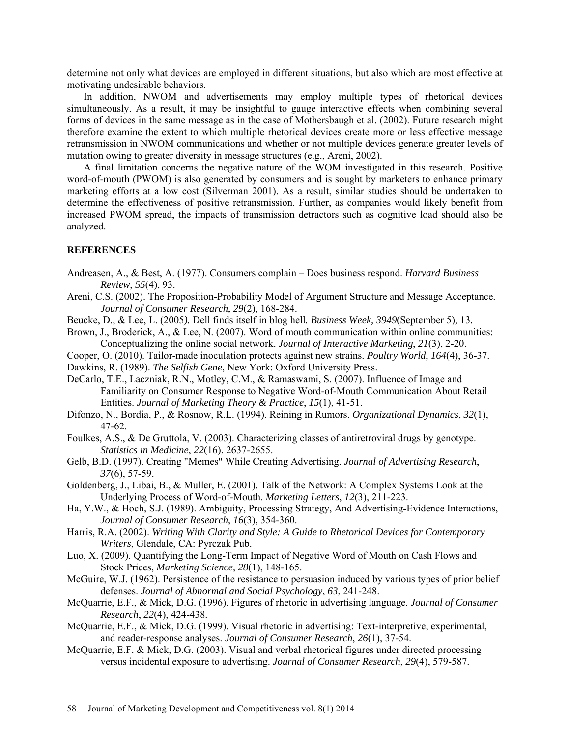determine not only what devices are employed in different situations, but also which are most effective at motivating undesirable behaviors.

In addition, NWOM and advertisements may employ multiple types of rhetorical devices simultaneously. As a result, it may be insightful to gauge interactive effects when combining several forms of devices in the same message as in the case of Mothersbaugh et al. (2002). Future research might therefore examine the extent to which multiple rhetorical devices create more or less effective message retransmission in NWOM communications and whether or not multiple devices generate greater levels of mutation owing to greater diversity in message structures (e.g., Areni, 2002).

A final limitation concerns the negative nature of the WOM investigated in this research. Positive word-of-mouth (PWOM) is also generated by consumers and is sought by marketers to enhance primary marketing efforts at a low cost (Silverman 2001). As a result, similar studies should be undertaken to determine the effectiveness of positive retransmission. Further, as companies would likely benefit from increased PWOM spread, the impacts of transmission detractors such as cognitive load should also be analyzed.

## **REFERENCES**

- Andreasen, A., & Best, A. (1977). Consumers complain Does business respond. *Harvard Business Review*, *55*(4), 93.
- Areni, C.S. (2002). The Proposition-Probability Model of Argument Structure and Message Acceptance. *Journal of Consumer Research*, *29*(2), 168-284.
- Beucke, D., & Lee, L. (2005*).* Dell finds itself in blog hell*. Business Week, 3949*(September 5)*,* 13*.*
- Brown, J., Broderick, A., & Lee, N. (2007). Word of mouth communication within online communities: Conceptualizing the online social network. *Journal of Interactive Marketing*, *21*(3), 2-20.
- Cooper, O. (2010). Tailor-made inoculation protects against new strains. *Poultry World*, *164*(4), 36-37.
- Dawkins, R. (1989). *The Selfish Gene*, New York: Oxford University Press.
- DeCarlo, T.E., Laczniak, R.N., Motley, C.M., & Ramaswami, S. (2007). Influence of Image and Familiarity on Consumer Response to Negative Word-of-Mouth Communication About Retail Entities. *Journal of Marketing Theory & Practice*, *15*(1), 41-51.
- Difonzo, N., Bordia, P., & Rosnow, R.L. (1994). Reining in Rumors. *Organizational Dynamics*, *32*(1), 47-62.
- Foulkes, A.S., & De Gruttola, V. (2003). Characterizing classes of antiretroviral drugs by genotype. *Statistics in Medicine*, *22*(16), 2637-2655.
- Gelb, B.D. (1997). Creating "Memes" While Creating Advertising. *Journal of Advertising Research*, *37*(6), 57-59.
- Goldenberg, J., Libai, B., & Muller, E. (2001). Talk of the Network: A Complex Systems Look at the Underlying Process of Word-of-Mouth. *Marketing Letters*, *12*(3), 211-223.
- Ha, Y.W., & Hoch, S.J. (1989). Ambiguity, Processing Strategy, And Advertising-Evidence Interactions, *Journal of Consumer Research*, *16*(3), 354-360.
- Harris, R.A. (2002). *Writing With Clarity and Style: A Guide to Rhetorical Devices for Contemporary Writers*, Glendale, CA: Pyrczak Pub.
- Luo, X. (2009). Quantifying the Long-Term Impact of Negative Word of Mouth on Cash Flows and Stock Prices, *Marketing Science*, *28*(1), 148-165.
- McGuire, W.J. (1962). Persistence of the resistance to persuasion induced by various types of prior belief defenses. *Journal of Abnormal and Social Psychology*, *63*, 241-248.
- McQuarrie, E.F., & Mick, D.G. (1996). Figures of rhetoric in advertising language. *Journal of Consumer Research*, *22*(4), 424-438.
- McQuarrie, E.F., & Mick, D.G. (1999). Visual rhetoric in advertising: Text-interpretive, experimental, and reader-response analyses. *Journal of Consumer Research*, *26*(1), 37-54.
- McQuarrie, E.F. & Mick, D.G. (2003). Visual and verbal rhetorical figures under directed processing versus incidental exposure to advertising. *Journal of Consumer Research*, *29*(4), 579-587.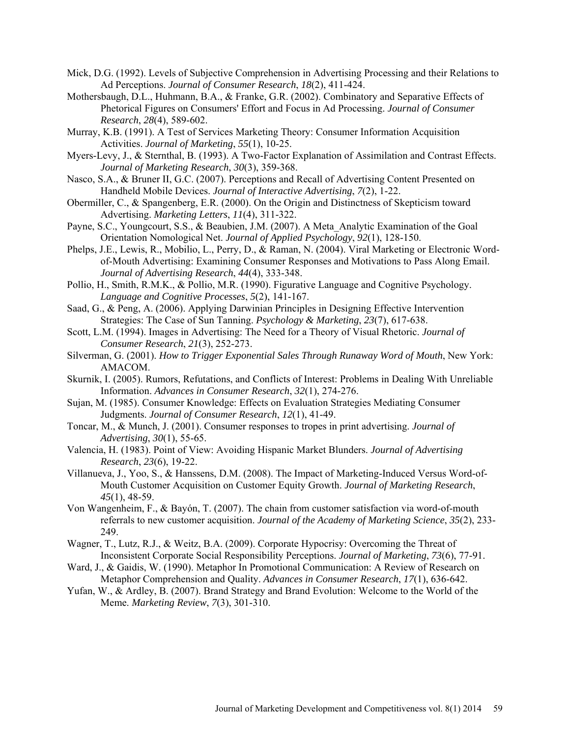- Mick, D.G. (1992). Levels of Subjective Comprehension in Advertising Processing and their Relations to Ad Perceptions. *Journal of Consumer Research*, *18*(2), 411-424.
- Mothersbaugh, D.L., Huhmann, B.A., & Franke, G.R. (2002). Combinatory and Separative Effects of Phetorical Figures on Consumers' Effort and Focus in Ad Processing. *Journal of Consumer Research*, *28*(4), 589-602.
- Murray, K.B. (1991). A Test of Services Marketing Theory: Consumer Information Acquisition Activities. *Journal of Marketing*, *55*(1), 10-25.
- Myers-Levy, J., & Sternthal, B. (1993). A Two-Factor Explanation of Assimilation and Contrast Effects. *Journal of Marketing Research*, *30*(3), 359-368.
- Nasco, S.A., & Bruner II, G.C. (2007). Perceptions and Recall of Advertising Content Presented on Handheld Mobile Devices. *Journal of Interactive Advertising*, *7*(2), 1-22.
- Obermiller, C., & Spangenberg, E.R. (2000). On the Origin and Distinctness of Skepticism toward Advertising. *Marketing Letters*, *11*(4), 311-322.
- Payne, S.C., Youngcourt, S.S., & Beaubien, J.M. (2007). A Meta\_Analytic Examination of the Goal Orientation Nomological Net. *Journal of Applied Psychology*, *92*(1), 128-150.
- Phelps, J.E., Lewis, R., Mobilio, L., Perry, D., & Raman, N. (2004). Viral Marketing or Electronic Wordof-Mouth Advertising: Examining Consumer Responses and Motivations to Pass Along Email. *Journal of Advertising Research*, *44*(4), 333-348.
- Pollio, H., Smith, R.M.K., & Pollio, M.R. (1990). Figurative Language and Cognitive Psychology. *Language and Cognitive Processes*, *5*(2), 141-167.
- Saad, G., & Peng, A. (2006). Applying Darwinian Principles in Designing Effective Intervention Strategies: The Case of Sun Tanning. *Psychology & Marketing*, *23*(7), 617-638.
- Scott, L.M. (1994). Images in Advertising: The Need for a Theory of Visual Rhetoric. *Journal of Consumer Research*, *21*(3), 252-273.
- Silverman, G. (2001). *How to Trigger Exponential Sales Through Runaway Word of Mouth*, New York: AMACOM.
- Skurnik, I. (2005). Rumors, Refutations, and Conflicts of Interest: Problems in Dealing With Unreliable Information. *Advances in Consumer Research*, *32*(1), 274-276.
- Sujan, M. (1985). Consumer Knowledge: Effects on Evaluation Strategies Mediating Consumer Judgments. *Journal of Consumer Research*, *12*(1), 41-49.
- Toncar, M., & Munch, J. (2001). Consumer responses to tropes in print advertising. *Journal of Advertising*, *30*(1), 55-65.
- Valencia, H. (1983). Point of View: Avoiding Hispanic Market Blunders. *Journal of Advertising Research*, *23*(6), 19-22.
- Villanueva, J., Yoo, S., & Hanssens, D.M. (2008). The Impact of Marketing-Induced Versus Word-of-Mouth Customer Acquisition on Customer Equity Growth. *Journal of Marketing Research*, *45*(1), 48-59.
- Von Wangenheim, F., & Bayón, T. (2007). The chain from customer satisfaction via word-of-mouth referrals to new customer acquisition. *Journal of the Academy of Marketing Science*, *35*(2), 233- 249.
- Wagner, T., Lutz, R.J., & Weitz, B.A. (2009). Corporate Hypocrisy: Overcoming the Threat of Inconsistent Corporate Social Responsibility Perceptions. *Journal of Marketing*, *73*(6), 77-91.
- Ward, J., & Gaidis, W. (1990). Metaphor In Promotional Communication: A Review of Research on Metaphor Comprehension and Quality. *Advances in Consumer Research*, *17*(1), 636-642.
- Yufan, W., & Ardley, B. (2007). Brand Strategy and Brand Evolution: Welcome to the World of the Meme. *Marketing Review*, *7*(3), 301-310.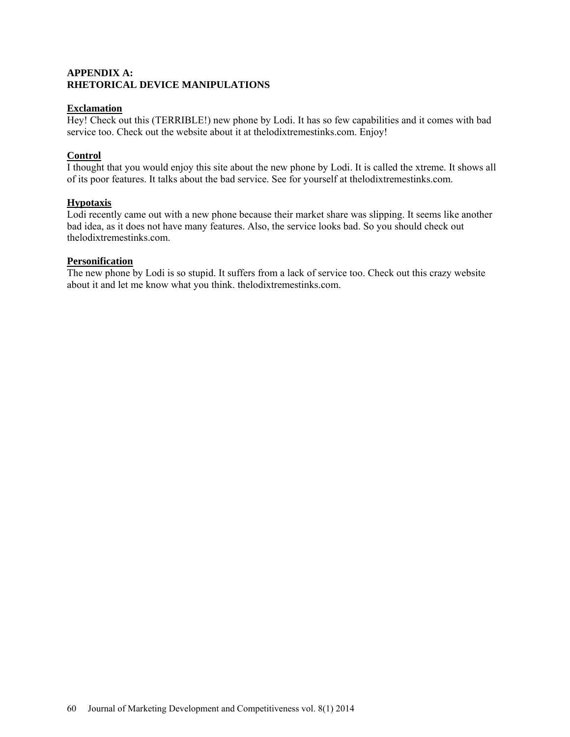## **APPENDIX A: RHETORICAL DEVICE MANIPULATIONS**

## **Exclamation**

Hey! Check out this (TERRIBLE!) new phone by Lodi. It has so few capabilities and it comes with bad service too. Check out the website about it at thelodixtremestinks.com. Enjoy!

## **Control**

I thought that you would enjoy this site about the new phone by Lodi. It is called the xtreme. It shows all of its poor features. It talks about the bad service. See for yourself at thelodixtremestinks.com.

## **Hypotaxis**

Lodi recently came out with a new phone because their market share was slipping. It seems like another bad idea, as it does not have many features. Also, the service looks bad. So you should check out thelodixtremestinks.com.

## **Personification**

The new phone by Lodi is so stupid. It suffers from a lack of service too. Check out this crazy website about it and let me know what you think. thelodixtremestinks.com.